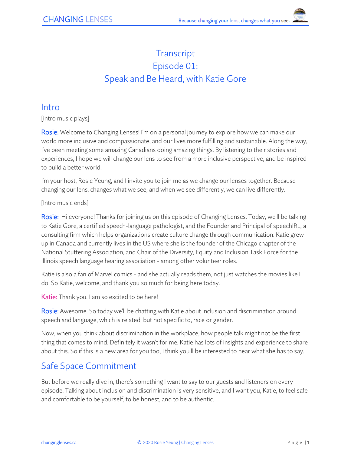# **Transcript** Episode 01: Speak and Be Heard, with Katie Gore

#### Intro

[intro music plays]

Rosie: Welcome to Changing Lenses! I'm on a personal journey to explore how we can make our world more inclusive and compassionate, and our lives more fulfilling and sustainable. Along the way, I've been meeting some amazing Canadians doing amazing things. By listening to their stories and experiences, I hope we will change our lens to see from a more inclusive perspective, and be inspired to build a better world.

I'm your host, Rosie Yeung, and I invite you to join me as we change our lenses together. Because changing our lens, changes what we see; and when we see differently, we can live differently.

[Intro music ends]

Rosie: Hi everyone! Thanks for joining us on this episode of Changing Lenses. Today, we'll be talking to Katie Gore, a certified speech-language pathologist, and the Founder and Principal of speechIRL, a consulting firm which helps organizations create culture change through communication. Katie grew up in Canada and currently lives in the US where she is the founder of the Chicago chapter of the National Stuttering Association, and Chair of the Diversity, Equity and Inclusion Task Force for the Illinois speech language hearing association - among other volunteer roles.

Katie is also a fan of Marvel comics - and she actually reads them, not just watches the movies like I do. So Katie, welcome, and thank you so much for being here today.

Katie: Thank you. I am so excited to be here!

Rosie: Awesome. So today we'll be chatting with Katie about inclusion and discrimination around speech and language, which is related, but not specific to, race or gender.

Now, when you think about discrimination in the workplace, how people talk might not be the first thing that comes to mind. Definitely it wasn't for me. Katie has lots of insights and experience to share about this. So if this is a new area for you too, I think you'll be interested to hear what she has to say.

# Safe Space Commitment

But before we really dive in, there's something I want to say to our guests and listeners on every episode. Talking about inclusion and discrimination is very sensitive, and I want you, Katie, to feel safe and comfortable to be yourself, to be honest, and to be authentic.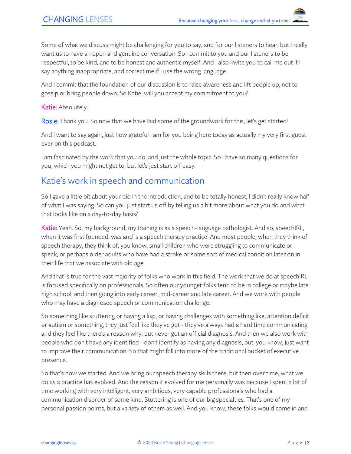Some of what we discuss might be challenging for you to say, and for our listeners to hear, but I really want us to have an open and genuine conversation. So I commit to you and our listeners to be respectful, to be kind, and to be honest and authentic myself. And I also invite you to call me out if I say anything inappropriate, and correct me if I use the wrong language.

And I commit that the foundation of our discussion is to raise awareness and lift people up, not to gossip or bring people down. So Katie, will you accept my commitment to you?

#### Katie: Absolutely.

Rosie: Thank you. So now that we have laid some of the groundwork for this, let's get started!

And I want to say again, just how grateful I am for you being here today as actually my very first guest ever on this podcast.

I am fascinated by the work that you do, and just the whole topic. So I have so many questions for you, which you might not get to, but let's just start off easy.

### Katie's work in speech and communication

So I gave a little bit about your bio in the introduction, and to be totally honest, I didn't really know half of what I was saying. So can you just start us off by telling us a bit more about what you do and what that looks like on a day-to-day basis?

Katie: Yeah. So, my background, my training is as a speech-language pathologist. And so, speechIRL, when it was first founded, was and is a speech therapy practice. And most people, when they think of speech therapy, they think of, you know, small children who were struggling to communicate or speak, or perhaps older adults who have had a stroke or some sort of medical condition later on in their life that we associate with old age.

And that is true for the vast majority of folks who work in this field. The work that we do at speechIRL is focused specifically on professionals. So often our younger folks tend to be in college or maybe late high school, and then going into early career, mid-career and late career. And we work with people who may have a diagnosed speech or communication challenge.

So something like stuttering or having a lisp, or having challenges with something like, attention deficit or autism or something, they just feel like they've got - they've always had a hard time communicating and they feel like there's a reason why, but never got an official diagnosis. And then we also work with people who don't have any identified - don't identify as having any diagnosis, but, you know, just want to improve their communication. So that might fall into more of the traditional bucket of executive presence.

So that's how we started. And we bring our speech therapy skills there, but then over time, what we do as a practice has evolved. And the reason it evolved for me personally was because I spent a lot of time working with very intelligent, very ambitious, very capable professionals who had a communication disorder of some kind. Stuttering is one of our big specialties. That's one of my personal passion points, but a variety of others as well. And you know, these folks would come in and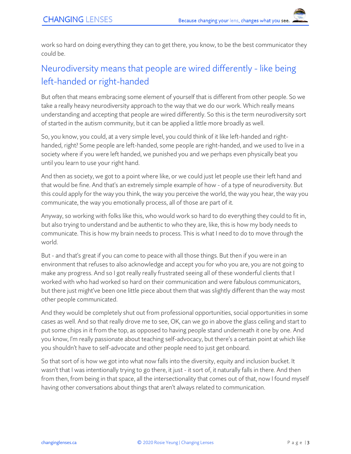work so hard on doing everything they can to get there, you know, to be the best communicator they could be.

# Neurodiversity means that people are wired differently - like being left-handed or right-handed

But often that means embracing some element of yourself that is different from other people. So we take a really heavy neurodiversity approach to the way that we do our work. Which really means understanding and accepting that people are wired differently. So this is the term neurodiversity sort of started in the autism community, but it can be applied a little more broadly as well.

So, you know, you could, at a very simple level, you could think of it like left-handed and righthanded, right? Some people are left-handed, some people are right-handed, and we used to live in a society where if you were left handed, we punished you and we perhaps even physically beat you until you learn to use your right hand.

And then as society, we got to a point where like, or we could just let people use their left hand and that would be fine. And that's an extremely simple example of how - of a type of neurodiversity. But this could apply for the way you think, the way you perceive the world, the way you hear, the way you communicate, the way you emotionally process, all of those are part of it.

Anyway, so working with folks like this, who would work so hard to do everything they could to fit in, but also trying to understand and be authentic to who they are, like, this is how my body needs to communicate. This is how my brain needs to process. This is what I need to do to move through the world.

But - and that's great if you can come to peace with all those things. But then if you were in an environment that refuses to also acknowledge and accept you for who you are, you are not going to make any progress. And so I got really really frustrated seeing all of these wonderful clients that I worked with who had worked so hard on their communication and were fabulous communicators, but there just might've been one little piece about them that was slightly different than the way most other people communicated.

And they would be completely shut out from professional opportunities, social opportunities in some cases as well. And so that really drove me to see, OK, can we go in above the glass ceiling and start to put some chips in it from the top, as opposed to having people stand underneath it one by one. And you know, I'm really passionate about teaching self-advocacy, but there's a certain point at which like you shouldn't have to self-advocate and other people need to just get onboard.

So that sort of is how we got into what now falls into the diversity, equity and inclusion bucket. It wasn't that I was intentionally trying to go there, it just - it sort of, it naturally falls in there. And then from then, from being in that space, all the intersectionality that comes out of that, now I found myself having other conversations about things that aren't always related to communication.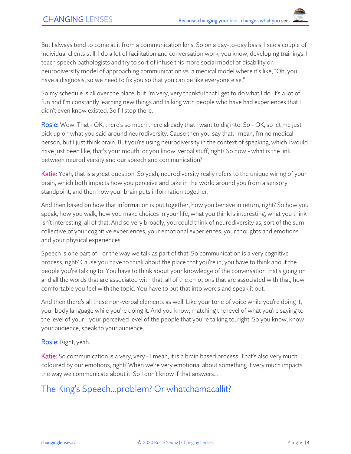But I always tend to come at it from a communication lens. So on a day-to-day basis, I see a couple of individual clients still. I do a lot of facilitation and conversation work, you know, developing trainings. I teach speech pathologists and try to sort of infuse this more social model of disability or neurodiversity model of approaching communication vs. a medical model where it's like, "Oh, you have a diagnosis, so we need to fix you so that you can be like everyone else."

So my schedule is all over the place, but I'm very, very thankful that I get to do what I do. It's a lot of fun and I'm constantly learning new things and talking with people who have had experiences that I didn't even know existed. So I'll stop there.

Rosie: Wow. That - OK, there's so much there already that I want to dig into. So - OK, so let me just pick up on what you said around neurodiversity. Cause then you say that, I mean, I'm no medical person, but I just think brain. But you're using neurodiversity in the context of speaking, which I would have just been like, that's your mouth, or you know, verbal stuff, right? So how - what is the link between neurodiversity and our speech and communication?

Katie: Yeah, that is a great question. So yeah, neurodiversity really refers to the unique wiring of your brain, which both impacts how you perceive and take in the world around you from a sensory standpoint, and then how your brain puts information together.

And then based on how that information is put together, how you behave in return, right? So how you speak, how you walk, how you make choices in your life, what you think is interesting, what you think isn't interesting, all of that. And so very broadly, you could think of neurodiversity as, sort of the sum collective of your cognitive experiences, your emotional experiences, your thoughts and emotions and your physical experiences.

Speech is one part of - or the way we talk as part of that. So communication is a very cognitive process, right? Cause you have to think about the place that you're in, you have to think about the people you're talking to. You have to think about your knowledge of the conversation that's going on and all the words that are associated with that, all of the emotions that are associated with that, how comfortable you feel with the topic. You have to put that into words and speak it out.

And then there's all these non-verbal elements as well. Like your tone of voice while you're doing it, your body language while you're doing it. And you know, matching the level of what you're saying to the level of your - your perceived level of the people that you're talking to, right. So you know, know your audience, speak to your audience.

#### Rosie: Right, yeah.

Katie: So communication is a very, very - I mean, it is a brain based process. That's also very much coloured by our emotions, right? When we're very emotional about something it very much impacts the way we communicate about it. So I don't know if that answers…

## The King's Speech...problem? Or whatchamacallit?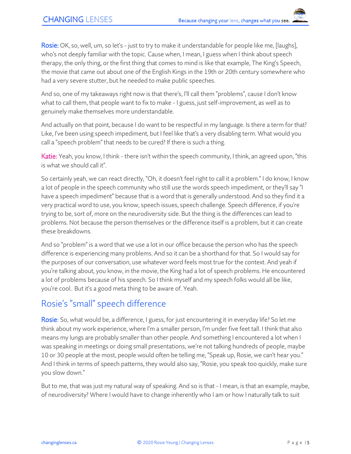Rosie: OK, so, well, um, so let's - just to try to make it understandable for people like me, [laughs], who's not deeply familiar with the topic. Cause when, I mean, I guess when I think about speech therapy, the only thing, or the first thing that comes to mind is like that example, The King's Speech, the movie that came out about one of the English Kings in the 19th or 20th century somewhere who had a very severe stutter, but he needed to make public speeches.

And so, one of my takeaways right now is that there's, I'll call them "problems", cause I don't know what to call them, that people want to fix to make - I guess, just self-improvement, as well as to genuinely make themselves more understandable.

And actually on that point, because I do want to be respectful in my language. Is there a term for that? Like, I've been using speech impediment, but I feel like that's a very disabling term. What would you call a "speech problem" that needs to be cured? If there is such a thing.

Katie: Yeah, you know, I think - there isn't within the speech community, I think, an agreed upon, "this is what we should call it".

So certainly yeah, we can react directly, "Oh, it doesn't feel right to call it a problem." I do know, I know a lot of people in the speech community who still use the words speech impediment, or they'll say "I have a speech impediment" because that is a word that is generally understood. And so they find it a very practical word to use, you know, speech issues, speech challenge. Speech difference, if you're trying to be, sort of, more on the neurodiversity side. But the thing is the differences can lead to problems. Not because the person themselves or the difference itself is a problem, but it can create these breakdowns.

And so "problem" is a word that we use a lot in our office because the person who has the speech difference is experiencing many problems. And so it can be a shorthand for that. So I would say for the purposes of our conversation, use whatever word feels most true for the context. And yeah if you're talking about, you know, in the movie, the King had a lot of speech problems. He encountered a lot of problems because of his speech. So I think myself and my speech folks would all be like, you're cool. But it's a good meta thing to be aware of. Yeah.

## Rosie's "small" speech difference

Rosie: So, what would be, a difference, I guess, for just encountering it in everyday life? So let me think about my work experience, where I'm a smaller person, I'm under five feet tall. I think that also means my lungs are probably smaller than other people. And something I encountered a lot when I was speaking in meetings or doing small presentations, we're not talking hundreds of people, maybe 10 or 30 people at the most, people would often be telling me, "Speak up, Rosie, we can't hear you." And I think in terms of speech patterns, they would also say, "Rosie, you speak too quickly, make sure you slow down."

But to me, that was just my natural way of speaking. And so is that - I mean, is that an example, maybe, of neurodiversity? Where I would have to change inherently who I am or how I naturally talk to suit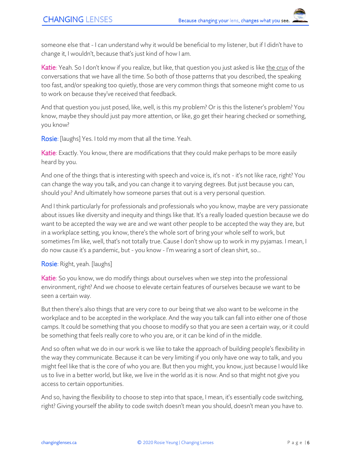someone else that - I can understand why it would be beneficial to my listener, but if I didn't have to change it, I wouldn't, because that's just kind of how I am.

Katie: Yeah. So I don't know if you realize, but like, that question you just asked is like the crux of the conversations that we have all the time. So both of those patterns that you described, the speaking too fast, and/or speaking too quietly, those are very common things that someone might come to us to work on because they've received that feedback.

And that question you just posed, like, well, is this my problem? Or is this the listener's problem? You know, maybe they should just pay more attention, or like, go get their hearing checked or something, you know?

Rosie: [laughs] Yes. I told my mom that all the time. Yeah.

Katie: Exactly. You know, there are modifications that they could make perhaps to be more easily heard by you.

And one of the things that is interesting with speech and voice is, it's not - it's not like race, right? You can change the way you talk, and you can change it to varying degrees. But just because you can, should you? And ultimately how someone parses that out is a very personal question.

And I think particularly for professionals and professionals who you know, maybe are very passionate about issues like diversity and inequity and things like that. It's a really loaded question because we do want to be accepted the way we are and we want other people to be accepted the way they are, but in a workplace setting, you know, there's the whole sort of bring your whole self to work, but sometimes I'm like, well, that's not totally true. Cause I don't show up to work in my pyjamas. I mean, I do now cause it's a pandemic, but - you know - I'm wearing a sort of clean shirt, so...

#### Rosie: Right, yeah. [laughs]

Katie: So you know, we do modify things about ourselves when we step into the professional environment, right? And we choose to elevate certain features of ourselves because we want to be seen a certain way.

But then there's also things that are very core to our being that we also want to be welcome in the workplace and to be accepted in the workplace. And the way you talk can fall into either one of those camps. It could be something that you choose to modify so that you are seen a certain way, or it could be something that feels really core to who you are, or it can be kind of in the middle.

And so often what we do in our work is we like to take the approach of building people's flexibility in the way they communicate. Because it can be very limiting if you only have one way to talk, and you might feel like that is the core of who you are. But then you might, you know, just because I would like us to live in a better world, but like, we live in the world as it is now. And so that might not give you access to certain opportunities.

And so, having the flexibility to choose to step into that space, I mean, it's essentially code switching, right? Giving yourself the ability to code switch doesn't mean you should, doesn't mean you have to.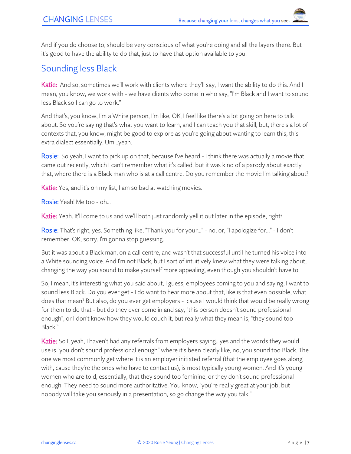And if you do choose to, should be very conscious of what you're doing and all the layers there. But it's good to have the ability to do that, just to have that option available to you.

### Sounding less Black

Katie: And so, sometimes we'll work with clients where they'll say, I want the ability to do this. And I mean, you know, we work with - we have clients who come in who say, "I'm Black and I want to sound less Black so I can go to work."

And that's, you know, I'm a White person, I'm like, OK, I feel like there's a lot going on here to talk about. So you're saying that's what you want to learn, and I can teach you that skill, but, there's a lot of contexts that, you know, might be good to explore as you're going about wanting to learn this, this extra dialect essentially. Um...yeah.

Rosie: So yeah, I want to pick up on that, because I've heard - I think there was actually a movie that came out recently, which I can't remember what it's called, but it was kind of a parody about exactly that, where there is a Black man who is at a call centre. Do you remember the movie I'm talking about?

Katie: Yes, and it's on my list, I am so bad at watching movies.

Rosie: Yeah! Me too - oh...

Katie: Yeah. It'll come to us and we'll both just randomly yell it out later in the episode, right?

Rosie: That's right, yes. Something like, "Thank you for your..." - no, or, "I apologize for..." - I don't remember. OK, sorry. I'm gonna stop guessing.

But it was about a Black man, on a call centre, and wasn't that successful until he turned his voice into a White sounding voice. And I'm not Black, but I sort of intuitively knew what they were talking about, changing the way you sound to make yourself more appealing, even though you shouldn't have to.

So, I mean, it's interesting what you said about, I guess, employees coming to you and saying, I want to sound less Black. Do you ever get - I do want to hear more about that, like is that even possible, what does that mean? But also, do you ever get employers - cause I would think that would be really wrong for them to do that - but do they ever come in and say, "this person doesn't sound professional enough", or I don't know how they would couch it, but really what they mean is, "they sound too Black."

Katie: So I, yeah, I haven't had any referrals from employers saying...yes and the words they would use is "you don't sound professional enough" where it's been clearly like, no, you sound too Black. The one we most commonly get where it is an employer initiated referral (that the employee goes along with, cause they're the ones who have to contact us), is most typically young women. And it's young women who are told, essentially, that they sound too feminine, or they don't sound professional enough. They need to sound more authoritative. You know, "you're really great at your job, but nobody will take you seriously in a presentation, so go change the way you talk."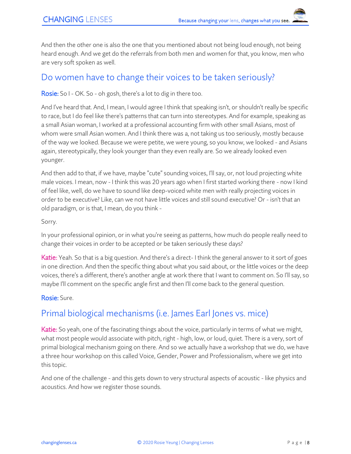And then the other one is also the one that you mentioned about not being loud enough, not being heard enough. And we get do the referrals from both men and women for that, you know, men who are very soft spoken as well.

### Do women have to change their voices to be taken seriously?

#### **Rosie:** So I - OK. So - oh gosh, there's a lot to dig in there too.

And I've heard that. And, I mean, I would agree I think that speaking isn't, or shouldn't really be specific to race, but I do feel like there's patterns that can turn into stereotypes. And for example, speaking as a small Asian woman, I worked at a professional accounting firm with other small Asians, most of whom were small Asian women. And I think there was a, not taking us too seriously, mostly because of the way we looked. Because we were petite, we were young, so you know, we looked - and Asians again, stereotypically, they look younger than they even really are. So we already looked even younger.

And then add to that, if we have, maybe "cute" sounding voices, I'll say, or, not loud projecting white male voices. I mean, now - I think this was 20 years ago when I first started working there - now I kind of feel like, well, do we have to sound like deep-voiced white men with really projecting voices in order to be executive? Like, can we not have little voices and still sound executive? Or - isn't that an old paradigm, or is that, I mean, do you think -

#### Sorry.

In your professional opinion, or in what you're seeing as patterns, how much do people really need to change their voices in order to be accepted or be taken seriously these days?

Katie: Yeah. So that is a big question. And there's a direct-I think the general answer to it sort of goes in one direction. And then the specific thing about what you said about, or the little voices or the deep voices, there's a different, there's another angle at work there that I want to comment on. So I'll say, so maybe I'll comment on the specific angle first and then I'll come back to the general question.

#### Rosie: Sure.

## Primal biological mechanisms (i.e. James Earl Jones vs. mice)

Katie: So yeah, one of the fascinating things about the voice, particularly in terms of what we might, what most people would associate with pitch, right - high, low, or loud, quiet. There is a very, sort of primal biological mechanism going on there. And so we actually have a workshop that we do, we have a three hour workshop on this called Voice, Gender, Power and Professionalism, where we get into this topic.

And one of the challenge - and this gets down to very structural aspects of acoustic - like physics and acoustics. And how we register those sounds.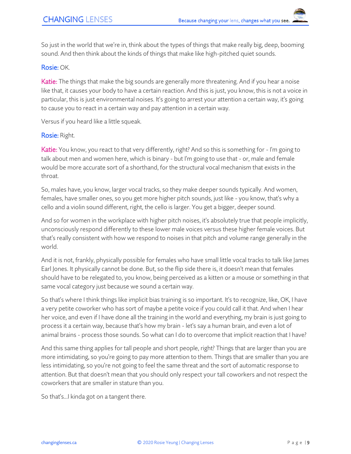So just in the world that we're in, think about the types of things that make really big, deep, booming sound. And then think about the kinds of things that make like high-pitched quiet sounds.

#### Rosie: OK.

Katie: The things that make the big sounds are generally more threatening. And if you hear a noise like that, it causes your body to have a certain reaction. And this is just, you know, this is not a voice in particular, this is just environmental noises. It's going to arrest your attention a certain way, it's going to cause you to react in a certain way and pay attention in a certain way.

Versus if you heard like a little squeak.

#### Rosie: Right.

Katie: You know, you react to that very differently, right? And so this is something for - I'm going to talk about men and women here, which is binary - but I'm going to use that - or, male and female would be more accurate sort of a shorthand, for the structural vocal mechanism that exists in the throat.

So, males have, you know, larger vocal tracks, so they make deeper sounds typically. And women, females, have smaller ones, so you get more higher pitch sounds, just like - you know, that's why a cello and a violin sound different, right, the cello is larger. You get a bigger, deeper sound.

And so for women in the workplace with higher pitch noises, it's absolutely true that people implicitly, unconsciously respond differently to these lower male voices versus these higher female voices. But that's really consistent with how we respond to noises in that pitch and volume range generally in the world.

And it is not, frankly, physically possible for females who have small little vocal tracks to talk like James Earl Jones. It physically cannot be done. But, so the flip side there is, it doesn't mean that females should have to be relegated to, you know, being perceived as a kitten or a mouse or something in that same vocal category just because we sound a certain way.

So that's where I think things like implicit bias training is so important. It's to recognize, like, OK, I have a very petite coworker who has sort of maybe a petite voice if you could call it that. And when I hear her voice, and even if I have done all the training in the world and everything, my brain is just going to process it a certain way, because that's how my brain - let's say a human brain, and even a lot of animal brains - process those sounds. So what can I do to overcome that implicit reaction that I have?

And this same thing applies for tall people and short people, right? Things that are larger than you are more intimidating, so you're going to pay more attention to them. Things that are smaller than you are less intimidating, so you're not going to feel the same threat and the sort of automatic response to attention. But that doesn't mean that you should only respect your tall coworkers and not respect the coworkers that are smaller in stature than you.

So that's...I kinda got on a tangent there.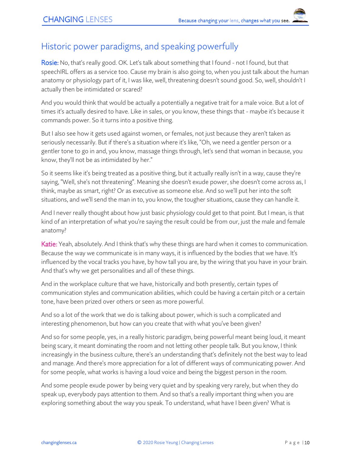### Historic power paradigms, and speaking powerfully

Rosie: No, that's really good. OK. Let's talk about something that I found - not I found, but that speechIRL offers as a service too. Cause my brain is also going to, when you just talk about the human anatomy or physiology part of it, I was like, well, threatening doesn't sound good. So, well, shouldn't I actually then be intimidated or scared?

And you would think that would be actually a potentially a negative trait for a male voice. But a lot of times it's actually desired to have. Like in sales, or you know, these things that - maybe it's because it commands power. So it turns into a positive thing.

But I also see how it gets used against women, or females, not just because they aren't taken as seriously necessarily. But if there's a situation where it's like, "Oh, we need a gentler person or a gentler tone to go in and, you know, massage things through, let's send that woman in because, you know, they'll not be as intimidated by her."

So it seems like it's being treated as a positive thing, but it actually really isn't in a way, cause they're saying, "Well, she's not threatening". Meaning she doesn't exude power, she doesn't come across as, I think, maybe as smart, right? Or as executive as someone else. And so we'll put her into the soft situations, and we'll send the man in to, you know, the tougher situations, cause they can handle it.

And I never really thought about how just basic physiology could get to that point. But I mean, is that kind of an interpretation of what you're saying the result could be from our, just the male and female anatomy?

Katie: Yeah, absolutely. And I think that's why these things are hard when it comes to communication. Because the way we communicate is in many ways, it is influenced by the bodies that we have. It's influenced by the vocal tracks you have, by how tall you are, by the wiring that you have in your brain. And that's why we get personalities and all of these things.

And in the workplace culture that we have, historically and both presently, certain types of communication styles and communication abilities, which could be having a certain pitch or a certain tone, have been prized over others or seen as more powerful.

And so a lot of the work that we do is talking about power, which is such a complicated and interesting phenomenon, but how can you create that with what you've been given?

And so for some people, yes, in a really historic paradigm, being powerful meant being loud, it meant being scary, it meant dominating the room and not letting other people talk. But you know, I think increasingly in the business culture, there's an understanding that's definitely not the best way to lead and manage. And there's more appreciation for a lot of different ways of communicating power. And for some people, what works is having a loud voice and being the biggest person in the room.

And some people exude power by being very quiet and by speaking very rarely, but when they do speak up, everybody pays attention to them. And so that's a really important thing when you are exploring something about the way you speak. To understand, what have I been given? What is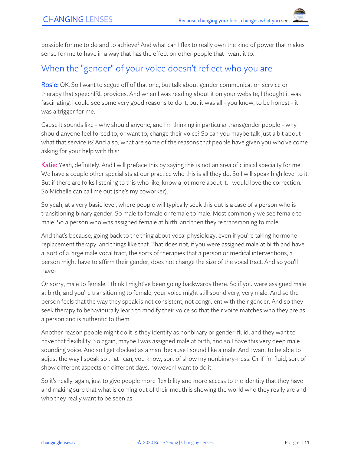possible for me to do and to achieve? And what can I flex to really own the kind of power that makes sense for me to have in a way that has the effect on other people that I want it to.

### When the "gender" of your voice doesn't reflect who you are

Rosie: OK. So I want to segue off of that one, but talk about gender communication service or therapy that speechIRL provides. And when I was reading about it on your website, I thought it was fascinating. I could see some very good reasons to do it, but it was all - you know, to be honest - it was a trigger for me.

Cause it sounds like - why should anyone, and I'm thinking in particular transgender people - why should anyone feel forced to, or want to, change their voice? So can you maybe talk just a bit about what that service is? And also, what are some of the reasons that people have given you who've come asking for your help with this?

Katie: Yeah, definitely. And I will preface this by saying this is not an area of clinical specialty for me. We have a couple other specialists at our practice who this is all they do. So I will speak high level to it. But if there are folks listening to this who like, know a lot more about it, I would love the correction. So Michelle can call me out (she's my coworker).

So yeah, at a very basic level, where people will typically seek this out is a case of a person who is transitioning binary gender. So male to female or female to male. Most commonly we see female to male. So a person who was assigned female at birth, and then they're transitioning to male.

And that's because, going back to the thing about vocal physiology, even if you're taking hormone replacement therapy, and things like that. That does not, if you were assigned male at birth and have a, sort of a large male vocal tract, the sorts of therapies that a person or medical interventions, a person might have to affirm their gender, does not change the size of the vocal tract. And so you'll have-

Or sorry, male to female, I think I might've been going backwards there. So if you were assigned male at birth, and you're transitioning to female, your voice might still sound very, very male. And so the person feels that the way they speak is not consistent, not congruent with their gender. And so they seek therapy to behaviourally learn to modify their voice so that their voice matches who they are as a person and is authentic to them.

Another reason people might do it is they identify as nonbinary or gender-fluid, and they want to have that flexibility. So again, maybe I was assigned male at birth, and so I have this very deep male sounding voice. And so I get clocked as a man because I sound like a male. And I want to be able to adjust the way I speak so that I can, you know, sort of show my nonbinary-ness. Or if I'm fluid, sort of show different aspects on different days, however I want to do it.

So it's really, again, just to give people more flexibility and more access to the identity that they have and making sure that what is coming out of their mouth is showing the world who they really are and who they really want to be seen as.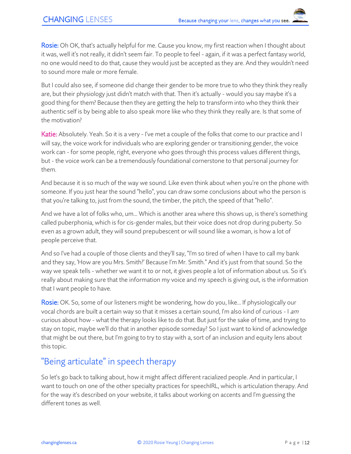Rosie: Oh OK, that's actually helpful for me. Cause you know, my first reaction when I thought about it was, well it's not really, it didn't seem fair. To people to feel - again, if it was a perfect fantasy world, no one would need to do that, cause they would just be accepted as they are. And they wouldn't need to sound more male or more female.

But I could also see, if someone did change their gender to be more true to who they think they really are, but their physiology just didn't match with that. Then it's actually - would you say maybe it's a good thing for them? Because then they are getting the help to transform into who they think their authentic self is by being able to also speak more like who they think they really are. Is that some of the motivation?

Katie: Absolutely. Yeah. So it is a very - I've met a couple of the folks that come to our practice and I will say, the voice work for individuals who are exploring gender or transitioning gender, the voice work can - for some people, right, everyone who goes through this process values different things, but - the voice work can be a tremendously foundational cornerstone to that personal journey for them.

And because it is so much of the way we sound. Like even think about when you're on the phone with someone. If you just hear the sound "hello", you can draw some conclusions about who the person is that you're talking to, just from the sound, the timber, the pitch, the speed of that "hello".

And we have a lot of folks who, um... Which is another area where this shows up, is there's something called puberphonia, which is for cis-gender males, but their voice does not drop during puberty. So even as a grown adult, they will sound prepubescent or will sound like a woman, is how a lot of people perceive that.

And so I've had a couple of those clients and they'll say, "I'm so tired of when I have to call my bank and they say, 'How are you Mrs. Smith?' Because I'm Mr. Smith." And it's just from that sound. So the way we speak tells - whether we want it to or not, it gives people a lot of information about us. So it's really about making sure that the information my voice and my speech is giving out, is the information that I want people to have.

Rosie: OK. So, some of our listeners might be wondering, how do you, like... If physiologically our vocal chords are built a certain way so that it misses a certain sound, I'm also kind of curious - I am curious about how - what the therapy looks like to do that. But just for the sake of time, and trying to stay on topic, maybe we'll do that in another episode someday? So I just want to kind of acknowledge that might be out there, but I'm going to try to stay with a, sort of an inclusion and equity lens about this topic.

## "Being articulate" in speech therapy

So let's go back to talking about, how it might affect different racialized people. And in particular, I want to touch on one of the other specialty practices for speechIRL, which is articulation therapy. And for the way it's described on your website, it talks about working on accents and I'm guessing the different tones as well.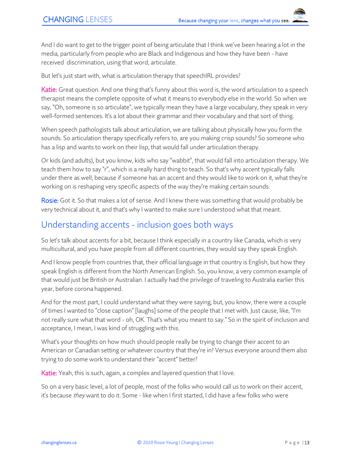And I do want to get to the trigger point of being articulate that I think we've been hearing a lot in the media, particularly from people who are Black and Indigenous and how they have been - have received discrimination, using that word, articulate.

But let's just start with, what is articulation therapy that speechIRL provides?

Katie: Great question. And one thing that's funny about this word is, the word articulation to a speech therapist means the complete opposite of what it means to everybody else in the world. So when we say, "Oh, someone is so articulate", we typically mean they have a large vocabulary, they speak in very well-formed sentences. It's a lot about their grammar and their vocabulary and that sort of thing.

When speech pathologists talk about articulation, we are talking about physically how you form the sounds. So articulation therapy specifically refers to, are you making crisp sounds? So someone who has a lisp and wants to work on their lisp, that would fall under articulation therapy.

Or kids (and adults), but you know, kids who say "wabbit", that would fall into articulation therapy. We teach them how to say "r", which is a really hard thing to teach. So that's why accent typically falls under there as well, because if someone has an accent and they would like to work on it, what they're working on is reshaping very specific aspects of the way they're making certain sounds.

**Rosie:** Got it. So that makes a lot of sense. And I knew there was something that would probably be very technical about it, and that's why I wanted to make sure I understood what that meant.

### Understanding accents - inclusion goes both ways

So let's talk about accents for a bit, because I think especially in a country like Canada, which is very multicultural, and you have people from all different countries, they would say they speak English.

And I know people from countries that, their official language in that country is English, but how they speak English is different from the North American English. So, you know, a very common example of that would just be British or Australian. I actually had the privilege of traveling to Australia earlier this year, before corona happened.

And for the most part, I could understand what they were saying, but, you know, there were a couple of times I wanted to "close caption" [laughs] some of the people that I met with. Just cause, like, "I'm not really sure what that word - oh, OK. That's what you meant to say." So in the spirit of inclusion and acceptance, I mean, I was kind of struggling with this.

What's your thoughts on how much should people really be trying to change their accent to an American or Canadian setting or whatever country that they're in? Versus everyone around them also trying to do some work to understand their "accent" better?

Katie: Yeah, this is such, again, a complex and layered question that I love.

So on a very basic level, a lot of people, most of the folks who would call us to work on their accent, it's because *they* want to do it. Some - like when I first started, I did have a few folks who were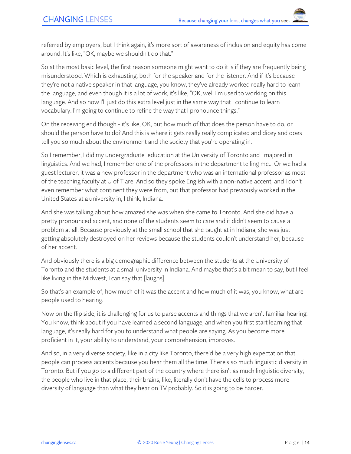referred by employers, but I think again, it's more sort of awareness of inclusion and equity has come around. It's like, "OK, maybe we shouldn't do that."

So at the most basic level, the first reason someone might want to do it is if they are frequently being misunderstood. Which is exhausting, both for the speaker and for the listener. And if it's because they're not a native speaker in that language, you know, they've already worked really hard to learn the language, and even though it is a lot of work, it's like, "OK, well I'm used to working on this language. And so now I'll just do this extra level just in the same way that I continue to learn vocabulary. I'm going to continue to refine the way that I pronounce things."

On the receiving end though - it's like, OK, but how much of that does the person have to do, or should the person have to do? And this is where it gets really really complicated and dicey and does tell you so much about the environment and the society that you're operating in.

So I remember, I did my undergraduate education at the University of Toronto and I majored in linguistics. And we had, I remember one of the professors in the department telling me... Or we had a guest lecturer, it was a new professor in the department who was an international professor as most of the teaching faculty at U of T are. And so they spoke English with a non-native accent, and I don't even remember what continent they were from, but that professor had previously worked in the United States at a university in, I think, Indiana.

And she was talking about how amazed she was when she came to Toronto. And she did have a pretty pronounced accent, and none of the students seem to care and it didn't seem to cause a problem at all. Because previously at the small school that she taught at in Indiana, she was just getting absolutely destroyed on her reviews because the students couldn't understand her, because of her accent.

And obviously there is a big demographic difference between the students at the University of Toronto and the students at a small university in Indiana. And maybe that's a bit mean to say, but I feel like living in the Midwest, I can say that [laughs].

So that's an example of, how much of it was the accent and how much of it was, you know, what are people used to hearing.

Now on the flip side, it is challenging for us to parse accents and things that we aren't familiar hearing. You know, think about if you have learned a second language, and when you first start learning that language, it's really hard for you to understand what people are saying. As you become more proficient in it, your ability to understand, your comprehension, improves.

And so, in a very diverse society, like in a city like Toronto, there'd be a very high expectation that people can process accents because you hear them all the time. There's so much linguistic diversity in Toronto. But if you go to a different part of the country where there isn't as much linguistic diversity, the people who live in that place, their brains, like, literally don't have the cells to process more diversity of language than what they hear on TV probably. So it is going to be harder.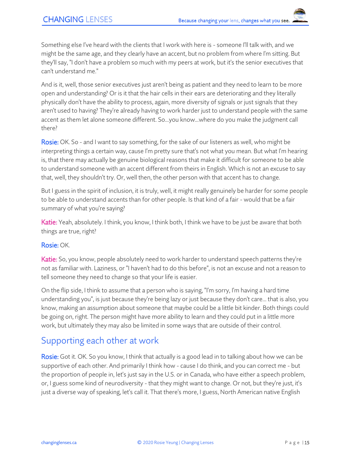Something else I've heard with the clients that I work with here is - someone I'll talk with, and we might be the same age, and they clearly have an accent, but no problem from where I'm sitting. But they'll say, "I don't have a problem so much with my peers at work, but it's the senior executives that can't understand me."

And is it, well, those senior executives just aren't being as patient and they need to learn to be more open and understanding? Or is it that the hair cells in their ears are deteriorating and they literally physically don't have the ability to process, again, more diversity of signals or just signals that they aren't used to having? They're already having to work harder just to understand people with the same accent as them let alone someone different. So...you know...where do you make the judgment call there?

Rosie: OK. So - and I want to say something, for the sake of our listeners as well, who might be interpreting things a certain way, cause I'm pretty sure that's not what you mean. But what I'm hearing is, that there may actually be genuine biological reasons that make it difficult for someone to be able to understand someone with an accent different from theirs in English. Which is not an excuse to say that, well, they shouldn't try. Or, well then, the other person with that accent has to change.

But I guess in the spirit of inclusion, it is truly, well, it might really genuinely be harder for some people to be able to understand accents than for other people. Is that kind of a fair - would that be a fair summary of what you're saying?

Katie: Yeah, absolutely. I think, you know, I think both, I think we have to be just be aware that both things are true, right?

#### Rosie: OK.

Katie: So, you know, people absolutely need to work harder to understand speech patterns they're not as familiar with. Laziness, or "I haven't had to do this before", is not an excuse and not a reason to tell someone they need to change so that your life is easier.

On the flip side, I think to assume that a person who is saying, "I'm sorry, I'm having a hard time understanding you", is just because they're being lazy or just because they don't care... that is also, you know, making an assumption about someone that maybe could be a little bit kinder. Both things could be going on, right. The person might have more ability to learn and they could put in a little more work, but ultimately they may also be limited in some ways that are outside of their control.

### Supporting each other at work

Rosie: Got it. OK. So you know, I think that actually is a good lead in to talking about how we can be supportive of each other. And primarily I think how - cause I do think, and you can correct me - but the proportion of people in, let's just say in the U.S. or in Canada, who have either a speech problem, or, I guess some kind of neurodiversity - that they might want to change. Or not, but they're just, it's just a diverse way of speaking, let's call it. That there's more, I guess, North American native English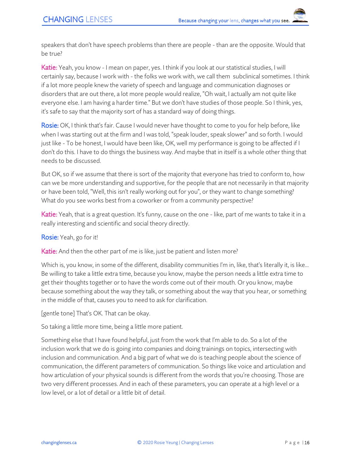speakers that don't have speech problems than there are people - than are the opposite. Would that be true?

Katie: Yeah, you know - I mean on paper, yes. I think if you look at our statistical studies, I will certainly say, because I work with - the folks we work with, we call them subclinical sometimes. I think if a lot more people knew the variety of speech and language and communication diagnoses or disorders that are out there, a lot more people would realize, "Oh wait, I actually am not quite like everyone else. I am having a harder time." But we don't have studies of those people. So I think, yes, it's safe to say that the majority sort of has a standard way of doing things.

Rosie: OK, I think that's fair. Cause I would never have thought to come to you for help before, like when I was starting out at the firm and I was told, "speak louder, speak slower" and so forth. I would just like - To be honest, I would have been like, OK, well my performance is going to be affected if I don't do this. I have to do things the business way. And maybe that in itself is a whole other thing that needs to be discussed.

But OK, so if we assume that there is sort of the majority that everyone has tried to conform to, how can we be more understanding and supportive, for the people that are not necessarily in that majority or have been told, "Well, this isn't really working out for you", or they want to change something? What do you see works best from a coworker or from a community perspective?

Katie: Yeah, that is a great question. It's funny, cause on the one - like, part of me wants to take it in a really interesting and scientific and social theory directly.

Rosie: Yeah, go for it!

Katie: And then the other part of me is like, just be patient and listen more?

Which is, you know, in some of the different, disability communities I'm in, like, that's literally it, is like... Be willing to take a little extra time, because you know, maybe the person needs a little extra time to get their thoughts together or to have the words come out of their mouth. Or you know, maybe because something about the way they talk, or something about the way that you hear, or something in the middle of that, causes you to need to ask for clarification.

[gentle tone] That's OK. That can be okay.

So taking a little more time, being a little more patient.

Something else that I have found helpful, just from the work that I'm able to do. So a lot of the inclusion work that we do is going into companies and doing trainings on topics, intersecting with inclusion and communication. And a big part of what we do is teaching people about the science of communication, the different parameters of communication. So things like voice and articulation and how articulation of your physical sounds is different from the words that you're choosing. Those are two very different processes. And in each of these parameters, you can operate at a high level or a low level, or a lot of detail or a little bit of detail.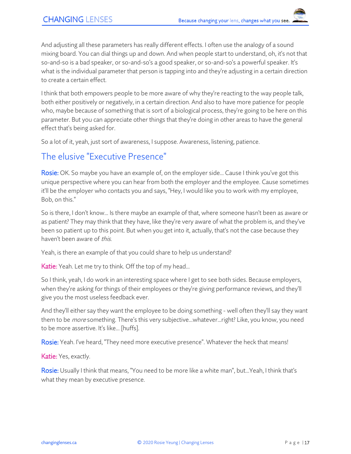And adjusting all these parameters has really different effects. I often use the analogy of a sound mixing board. You can dial things up and down. And when people start to understand, oh, it's not that so-and-so is a bad speaker, or so-and-so's a good speaker, or so-and-so's a powerful speaker. It's what is the individual parameter that person is tapping into and they're adjusting in a certain direction to create a certain effect.

I think that both empowers people to be more aware of why they're reacting to the way people talk, both either positively or negatively, in a certain direction. And also to have more patience for people who, maybe because of something that is sort of a biological process, they're going to be here on this parameter. But you can appreciate other things that they're doing in other areas to have the general effect that's being asked for.

So a lot of it, yeah, just sort of awareness, I suppose. Awareness, listening, patience.

## The elusive "Executive Presence"

Rosie: OK. So maybe you have an example of, on the employer side... Cause I think you've got this unique perspective where you can hear from both the employer and the employee. Cause sometimes it'll be the employer who contacts you and says, "Hey, I would like you to work with my employee, Bob, on this."

So is there, I don't know... Is there maybe an example of that, where someone hasn't been as aware or as patient? They may think that they have, like they're very aware of what the problem is, and they've been so patient up to this point. But when you get into it, actually, that's not the case because they haven't been aware of this.

Yeah, is there an example of that you could share to help us understand?

**Katie:** Yeah. Let me try to think. Off the top of my head...

So I think, yeah, I do work in an interesting space where I get to see both sides. Because employers, when they're asking for things of their employees or they're giving performance reviews, and they'll give you the most useless feedback ever.

And they'll either say they want the employee to be doing something - well often they'll say they want them to be *more* something. There's this very subjective...whatever...right? Like, you know, you need to be more assertive. It's like... [huffs].

Rosie: Yeah. I've heard, "They need more executive presence". Whatever the heck that means!

Katie: Yes, exactly.

Rosie: Usually I think that means, "You need to be more like a white man", but...Yeah, I think that's what they mean by executive presence.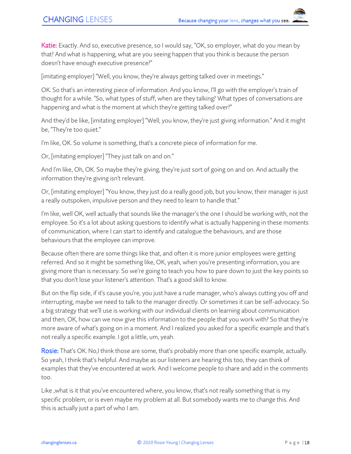Katie: Exactly. And so, executive presence, so I would say, "OK, so employer, what do you mean by that? And what is happening, what are you seeing happen that you think is because the person doesn't have enough executive presence?"

[imitating employer] "Well, you know, they're always getting talked over in meetings."

OK. So that's an interesting piece of information. And you know, I'll go with the employer's train of thought for a while. "So, what types of stuff, when are they talking? What types of conversations are happening and what is the moment at which they're getting talked over?"

And they'd be like, [imitating employer] "Well, you know, they're just giving information." And it might be, "They're too quiet."

I'm like, OK. So volume is something, that's a concrete piece of information for me.

Or, [imitating employer] "They just talk on and on."

And I'm like, Oh, OK. So maybe they're giving, they're just sort of going on and on. And actually the information they're giving isn't relevant.

Or, [imitating employer] "You know, they just do a really good job, but you know, their manager is just a really outspoken, impulsive person and they need to learn to handle that."

I'm like, well OK, well actually that sounds like the manager's the one I should be working with, not the employee. So it's a lot about asking questions to identify what is actually happening in these moments of communication, where I can start to identify and catalogue the behaviours, and are those behaviours that the employee can improve.

Because often there are some things like that, and often it is more junior employees were getting referred. And so it might be something like, OK, yeah, when you're presenting information, you are giving more than is necessary. So we're going to teach you how to pare down to just the key points so that you don't lose your listener's attention. That's a good skill to know.

But on the flip side, if it's cause you're, you just have a rude manager, who's always cutting you off and interrupting, maybe we need to talk to the manager directly. Or sometimes it can be self-advocacy. So a big strategy that we'll use is working with our individual clients on learning about communication and then, OK, how can we now give this information to the people that you work with? So that they're more aware of what's going on in a moment. And I realized you asked for a specific example and that's not really a specific example. I got a little, um, yeah.

Rosie: That's OK. No,I think those are some, that's probably more than one specific example, actually. So yeah, I think that's helpful. And maybe as our listeners are hearing this too, they can think of examples that they've encountered at work. And I welcome people to share and add in the comments too.

Like ,what is it that you've encountered where, you know, that's not really something that is my specific problem, or is even maybe my problem at all. But somebody wants me to change this. And this is actually just a part of who I am.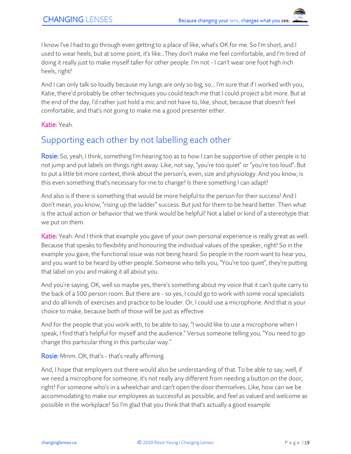I know I've I had to go through even getting to a place of like, what's OK for me. So I'm short, and I used to wear heels, but at some point, it's like...They don't make me feel comfortable, and I'm tired of doing it really just to make myself taller for other people. I'm not - I can't wear one foot high inch heels, right?

And I can only talk so loudly because my lungs are only so big, so... I'm sure that if I worked with you, Katie, there'd probably be other techniques you could teach me that I could project a bit more. But at the end of the day, I'd rather just hold a mic and not have to, like, shout, because that doesn't feel comfortable, and that's not going to make me a good presenter either.

#### Katie: Yeah.

## Supporting each other by not labelling each other

Rosie: So, yeah, I think, something I'm hearing too as to how I can be supportive of other people is to not jump and put labels on things right away. Like, not say, "you're too quiet" or "you're too loud". But to put a little bit more context, think about the person's, even, size and physiology. And you know, is this even something that's necessary for me to change? Is there something I can adapt?

And also is if there is something that would be more helpful to the person for their success? And I don't mean, you know, "rising up the ladder" success. But just for them to be heard better. Then what is the actual action or behavior that we think would be helpful? Not a label or kind of a stereotype that we put on them.

Katie: Yeah. And I think that example you gave of your own personal experience is really great as well. Because that speaks to flexibility and honouring the individual values of the speaker, right? So in the example you gave, the functional issue was not being heard. So people in the room want to hear you, and you want to be heard by other people. Someone who tells you, "You're too quiet", they're putting that label on you and making it all about you.

And you're saying, OK, well so maybe yes, there's something about my voice that it can't quite carry to the back of a 500 person room. But there are - so yes, I could go to work with some vocal specialists and do all kinds of exercises and practice to be louder. Or, I could use a microphone. And that is your choice to make, because both of those will be just as effective.

And for the people that you work with, to be able to say, "I would like to use a microphone when I speak, I find that's helpful for myself and the audience." Versus someone telling you, "You need to go change this particular thing in this particular way."

Rosie: Mmm. OK, that's - that's really affirming.

And, I hope that employers out there would also be understanding of that. To be able to say, well, if we need a microphone for someone, it's not really any different from needing a button on the door, right? For someone who's in a wheelchair and can't open the door themselves. Like, how can we be accommodating to make our employees as successful as possible, and feel as valued and welcome as possible in the workplace? So I'm glad that you think that that's actually a good example.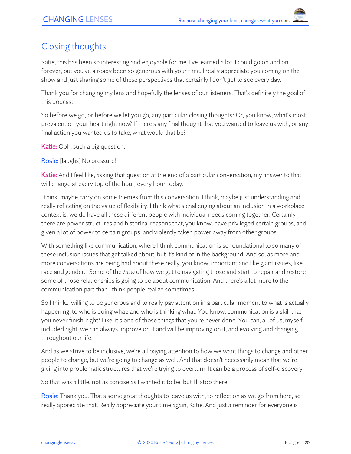# Closing thoughts

Katie, this has been so interesting and enjoyable for me. I've learned a lot. I could go on and on forever, but you've already been so generous with your time. I really appreciate you coming on the show and just sharing some of these perspectives that certainly I don't get to see every day.

Thank you for changing my lens and hopefully the lenses of our listeners. That's definitely the goal of this podcast.

So before we go, or before we let you go, any particular closing thoughts? Or, you know, what's most prevalent on your heart right now? If there's any final thought that you wanted to leave us with, or any final action you wanted us to take, what would that be?

Katie: Ooh, such a big question.

Rosie: [laughs] No pressure!

Katie: And I feel like, asking that question at the end of a particular conversation, my answer to that will change at every top of the hour, every hour today.

I think, maybe carry on some themes from this conversation. I think, maybe just understanding and really reflecting on the value of flexibility. I think what's challenging about an inclusion in a workplace context is, we do have all these different people with individual needs coming together. Certainly there are power structures and historical reasons that, you know, have privileged certain groups, and given a lot of power to certain groups, and violently taken power away from other groups.

With something like communication, where I think communication is so foundational to so many of these inclusion issues that get talked about, but it's kind of in the background. And so, as more and more conversations are being had about these really, you know, important and like giant issues, like race and gender... Some of the *how* of how we get to navigating those and start to repair and restore some of those relationships is going to be about communication. And there's a lot more to the communication part than I think people realize sometimes.

So I think… willing to be generous and to really pay attention in a particular moment to what is actually happening; to who is doing what; and who is thinking what. You know, communication is a skill that you never finish, right? Like, it's one of those things that you're never done. You can, all of us, myself included right, we can always improve on it and will be improving on it, and evolving and changing throughout our life.

And as we strive to be inclusive, we're all paying attention to how we want things to change and other people to change, but we're going to change as well. And that doesn't necessarily mean that we're giving into problematic structures that we're trying to overturn. It can be a process of self-discovery.

So that was a little, not as concise as I wanted it to be, but I'll stop there.

Rosie: Thank you. That's some great thoughts to leave us with, to reflect on as we go from here, so really appreciate that. Really appreciate your time again, Katie. And just a reminder for everyone is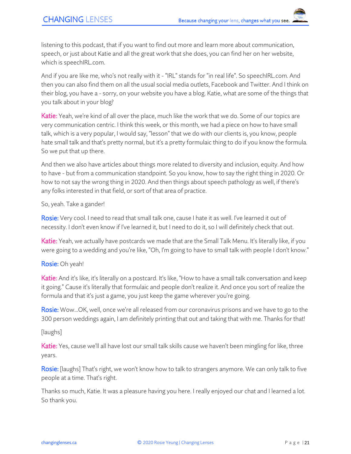listening to this podcast, that if you want to find out more and learn more about communication, speech, or just about Katie and all the great work that she does, you can find her on her website, which is speechIRL.com.

And if you are like me, who's not really with it - "IRL" stands for "in real life". So speechIRL.com. And then you can also find them on all the usual social media outlets, Facebook and Twitter. And I think on their blog, you have a - sorry, on your website you have a blog. Katie, what are some of the things that you talk about in your blog?

**Katie:** Yeah, we're kind of all over the place, much like the work that we do. Some of our topics are very communication centric. I think this week, or this month, we had a piece on how to have small talk, which is a very popular, I would say, "lesson" that we do with our clients is, you know, people hate small talk and that's pretty normal, but it's a pretty formulaic thing to do if you know the formula. So we put that up there.

And then we also have articles about things more related to diversity and inclusion, equity. And how to have - but from a communication standpoint. So you know, how to say the right thing in 2020. Or how to not say the wrong thing in 2020. And then things about speech pathology as well, if there's any folks interested in that field, or sort of that area of practice.

So, yeah. Take a gander!

Rosie: Very cool. I need to read that small talk one, cause I hate it as well. I've learned it out of necessity. I don't even know if I've learned it, but I need to do it, so I will definitely check that out.

Katie: Yeah, we actually have postcards we made that are the Small Talk Menu. It's literally like, if you were going to a wedding and you're like, "Oh, I'm going to have to small talk with people I don't know."

Rosie: Oh yeah!

Katie: And it's like, it's literally on a postcard. It's like, "How to have a small talk conversation and keep it going." Cause it's literally that formulaic and people don't realize it. And once you sort of realize the formula and that it's just a game, you just keep the game wherever you're going.

Rosie: Wow...OK, well, once we're all released from our coronavirus prisons and we have to go to the 300 person weddings again, I am definitely printing that out and taking that with me. Thanks for that!

[laughs]

Katie: Yes, cause we'll all have lost our small talk skills cause we haven't been mingling for like, three years.

Rosie: [laughs] That's right, we won't know how to talk to strangers anymore. We can only talk to five people at a time. That's right.

Thanks so much, Katie. It was a pleasure having you here. I really enjoyed our chat and I learned a lot. So thank you.